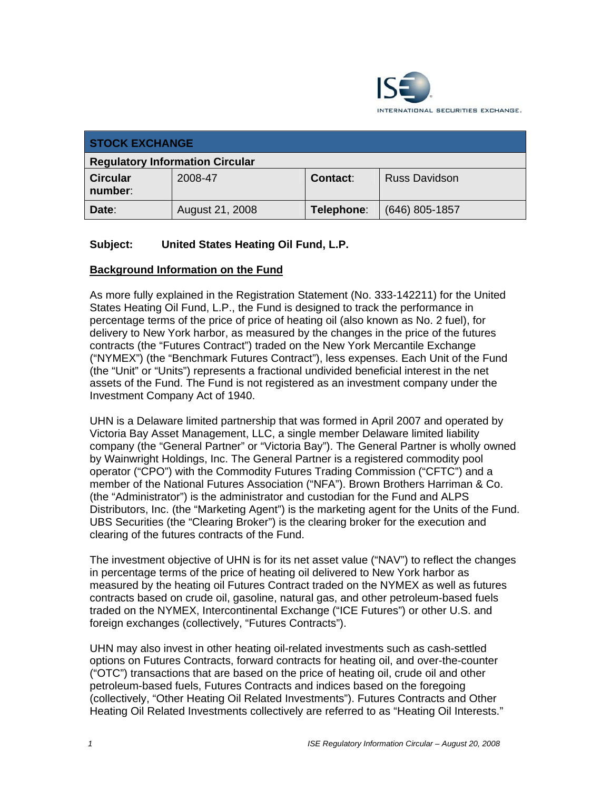

| <b>STOCK EXCHANGE</b>                  |                 |                 |                      |
|----------------------------------------|-----------------|-----------------|----------------------|
| <b>Regulatory Information Circular</b> |                 |                 |                      |
| <b>Circular</b><br>number:             | 2008-47         | <b>Contact:</b> | <b>Russ Davidson</b> |
| Date:                                  | August 21, 2008 | Telephone:      | $(646)$ 805-1857     |

# **Subject: United States Heating Oil Fund, L.P.**

#### **Background Information on the Fund**

As more fully explained in the Registration Statement (No. 333-142211) for the United States Heating Oil Fund, L.P., the Fund is designed to track the performance in percentage terms of the price of price of heating oil (also known as No. 2 fuel), for delivery to New York harbor, as measured by the changes in the price of the futures contracts (the "Futures Contract") traded on the New York Mercantile Exchange ("NYMEX") (the "Benchmark Futures Contract"), less expenses. Each Unit of the Fund (the "Unit" or "Units") represents a fractional undivided beneficial interest in the net assets of the Fund. The Fund is not registered as an investment company under the Investment Company Act of 1940.

UHN is a Delaware limited partnership that was formed in April 2007 and operated by Victoria Bay Asset Management, LLC, a single member Delaware limited liability company (the "General Partner" or "Victoria Bay"). The General Partner is wholly owned by Wainwright Holdings, Inc. The General Partner is a registered commodity pool operator ("CPO") with the Commodity Futures Trading Commission ("CFTC") and a member of the National Futures Association ("NFA"). Brown Brothers Harriman & Co. (the "Administrator") is the administrator and custodian for the Fund and ALPS Distributors, Inc. (the "Marketing Agent") is the marketing agent for the Units of the Fund. UBS Securities (the "Clearing Broker") is the clearing broker for the execution and clearing of the futures contracts of the Fund.

The investment objective of UHN is for its net asset value ("NAV") to reflect the changes in percentage terms of the price of heating oil delivered to New York harbor as measured by the heating oil Futures Contract traded on the NYMEX as well as futures contracts based on crude oil, gasoline, natural gas, and other petroleum-based fuels traded on the NYMEX, Intercontinental Exchange ("ICE Futures") or other U.S. and foreign exchanges (collectively, "Futures Contracts").

UHN may also invest in other heating oil-related investments such as cash-settled options on Futures Contracts, forward contracts for heating oil, and over-the-counter ("OTC") transactions that are based on the price of heating oil, crude oil and other petroleum-based fuels, Futures Contracts and indices based on the foregoing (collectively, "Other Heating Oil Related Investments"). Futures Contracts and Other Heating Oil Related Investments collectively are referred to as "Heating Oil Interests."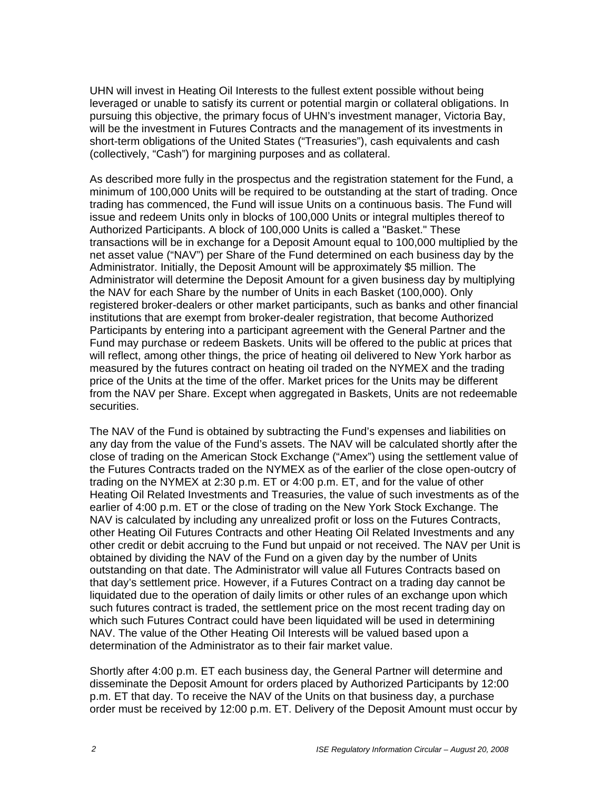UHN will invest in Heating Oil Interests to the fullest extent possible without being leveraged or unable to satisfy its current or potential margin or collateral obligations. In pursuing this objective, the primary focus of UHN's investment manager, Victoria Bay, will be the investment in Futures Contracts and the management of its investments in short-term obligations of the United States ("Treasuries"), cash equivalents and cash (collectively, "Cash") for margining purposes and as collateral.

As described more fully in the prospectus and the registration statement for the Fund, a minimum of 100,000 Units will be required to be outstanding at the start of trading. Once trading has commenced, the Fund will issue Units on a continuous basis. The Fund will issue and redeem Units only in blocks of 100,000 Units or integral multiples thereof to Authorized Participants. A block of 100,000 Units is called a "Basket." These transactions will be in exchange for a Deposit Amount equal to 100,000 multiplied by the net asset value ("NAV") per Share of the Fund determined on each business day by the Administrator. Initially, the Deposit Amount will be approximately \$5 million. The Administrator will determine the Deposit Amount for a given business day by multiplying the NAV for each Share by the number of Units in each Basket (100,000). Only registered broker-dealers or other market participants, such as banks and other financial institutions that are exempt from broker-dealer registration, that become Authorized Participants by entering into a participant agreement with the General Partner and the Fund may purchase or redeem Baskets. Units will be offered to the public at prices that will reflect, among other things, the price of heating oil delivered to New York harbor as measured by the futures contract on heating oil traded on the NYMEX and the trading price of the Units at the time of the offer. Market prices for the Units may be different from the NAV per Share. Except when aggregated in Baskets, Units are not redeemable securities.

The NAV of the Fund is obtained by subtracting the Fund's expenses and liabilities on any day from the value of the Fund's assets. The NAV will be calculated shortly after the close of trading on the American Stock Exchange ("Amex") using the settlement value of the Futures Contracts traded on the NYMEX as of the earlier of the close open-outcry of trading on the NYMEX at 2:30 p.m. ET or 4:00 p.m. ET, and for the value of other Heating Oil Related Investments and Treasuries, the value of such investments as of the earlier of 4:00 p.m. ET or the close of trading on the New York Stock Exchange. The NAV is calculated by including any unrealized profit or loss on the Futures Contracts, other Heating Oil Futures Contracts and other Heating Oil Related Investments and any other credit or debit accruing to the Fund but unpaid or not received. The NAV per Unit is obtained by dividing the NAV of the Fund on a given day by the number of Units outstanding on that date. The Administrator will value all Futures Contracts based on that day's settlement price. However, if a Futures Contract on a trading day cannot be liquidated due to the operation of daily limits or other rules of an exchange upon which such futures contract is traded, the settlement price on the most recent trading day on which such Futures Contract could have been liquidated will be used in determining NAV. The value of the Other Heating Oil Interests will be valued based upon a determination of the Administrator as to their fair market value.

Shortly after 4:00 p.m. ET each business day, the General Partner will determine and disseminate the Deposit Amount for orders placed by Authorized Participants by 12:00 p.m. ET that day. To receive the NAV of the Units on that business day, a purchase order must be received by 12:00 p.m. ET. Delivery of the Deposit Amount must occur by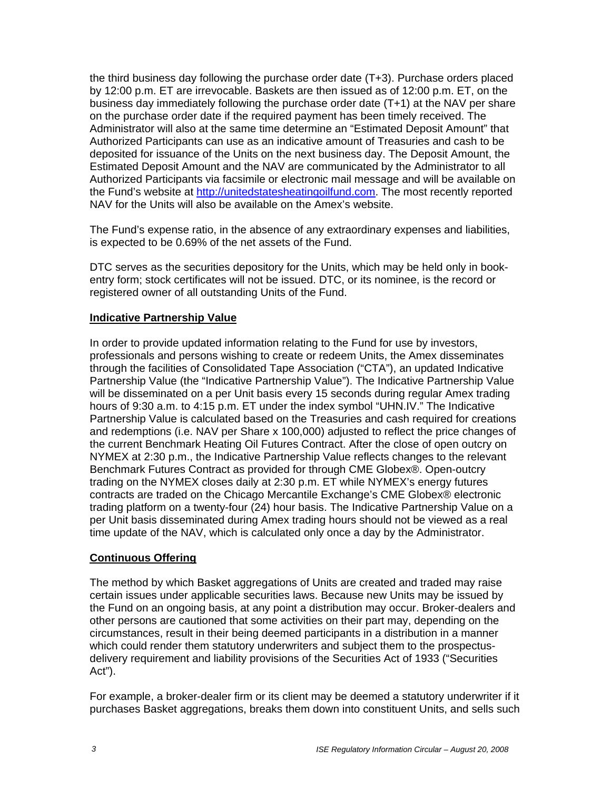the third business day following the purchase order date (T+3). Purchase orders placed by 12:00 p.m. ET are irrevocable. Baskets are then issued as of 12:00 p.m. ET, on the business day immediately following the purchase order date (T+1) at the NAV per share on the purchase order date if the required payment has been timely received. The Administrator will also at the same time determine an "Estimated Deposit Amount" that Authorized Participants can use as an indicative amount of Treasuries and cash to be deposited for issuance of the Units on the next business day. The Deposit Amount, the Estimated Deposit Amount and the NAV are communicated by the Administrator to all Authorized Participants via facsimile or electronic mail message and will be available on the Fund's website at http://unitedstatesheatingoilfund.com. The most recently reported NAV for the Units will also be available on the Amex's website.

The Fund's expense ratio, in the absence of any extraordinary expenses and liabilities, is expected to be 0.69% of the net assets of the Fund.

DTC serves as the securities depository for the Units, which may be held only in bookentry form; stock certificates will not be issued. DTC, or its nominee, is the record or registered owner of all outstanding Units of the Fund.

## **Indicative Partnership Value**

In order to provide updated information relating to the Fund for use by investors, professionals and persons wishing to create or redeem Units, the Amex disseminates through the facilities of Consolidated Tape Association ("CTA"), an updated Indicative Partnership Value (the "Indicative Partnership Value"). The Indicative Partnership Value will be disseminated on a per Unit basis every 15 seconds during regular Amex trading hours of 9:30 a.m. to 4:15 p.m. ET under the index symbol "UHN.IV." The Indicative Partnership Value is calculated based on the Treasuries and cash required for creations and redemptions (i.e. NAV per Share x 100,000) adjusted to reflect the price changes of the current Benchmark Heating Oil Futures Contract. After the close of open outcry on NYMEX at 2:30 p.m., the Indicative Partnership Value reflects changes to the relevant Benchmark Futures Contract as provided for through CME Globex®. Open-outcry trading on the NYMEX closes daily at 2:30 p.m. ET while NYMEX's energy futures contracts are traded on the Chicago Mercantile Exchange's CME Globex® electronic trading platform on a twenty-four (24) hour basis. The Indicative Partnership Value on a per Unit basis disseminated during Amex trading hours should not be viewed as a real time update of the NAV, which is calculated only once a day by the Administrator.

## **Continuous Offering**

The method by which Basket aggregations of Units are created and traded may raise certain issues under applicable securities laws. Because new Units may be issued by the Fund on an ongoing basis, at any point a distribution may occur. Broker-dealers and other persons are cautioned that some activities on their part may, depending on the circumstances, result in their being deemed participants in a distribution in a manner which could render them statutory underwriters and subject them to the prospectusdelivery requirement and liability provisions of the Securities Act of 1933 ("Securities Act").

For example, a broker-dealer firm or its client may be deemed a statutory underwriter if it purchases Basket aggregations, breaks them down into constituent Units, and sells such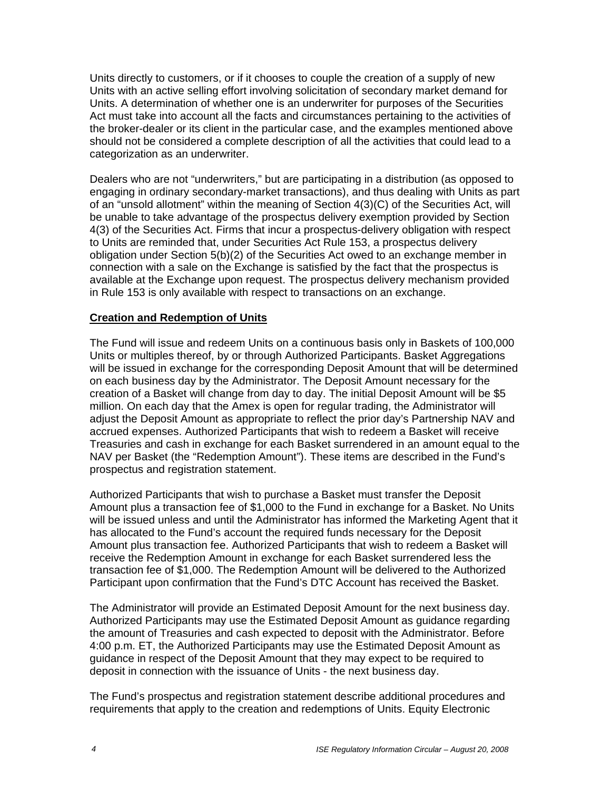Units directly to customers, or if it chooses to couple the creation of a supply of new Units with an active selling effort involving solicitation of secondary market demand for Units. A determination of whether one is an underwriter for purposes of the Securities Act must take into account all the facts and circumstances pertaining to the activities of the broker-dealer or its client in the particular case, and the examples mentioned above should not be considered a complete description of all the activities that could lead to a categorization as an underwriter.

Dealers who are not "underwriters," but are participating in a distribution (as opposed to engaging in ordinary secondary-market transactions), and thus dealing with Units as part of an "unsold allotment" within the meaning of Section 4(3)(C) of the Securities Act, will be unable to take advantage of the prospectus delivery exemption provided by Section 4(3) of the Securities Act. Firms that incur a prospectus-delivery obligation with respect to Units are reminded that, under Securities Act Rule 153, a prospectus delivery obligation under Section 5(b)(2) of the Securities Act owed to an exchange member in connection with a sale on the Exchange is satisfied by the fact that the prospectus is available at the Exchange upon request. The prospectus delivery mechanism provided in Rule 153 is only available with respect to transactions on an exchange.

#### **Creation and Redemption of Units**

The Fund will issue and redeem Units on a continuous basis only in Baskets of 100,000 Units or multiples thereof, by or through Authorized Participants. Basket Aggregations will be issued in exchange for the corresponding Deposit Amount that will be determined on each business day by the Administrator. The Deposit Amount necessary for the creation of a Basket will change from day to day. The initial Deposit Amount will be \$5 million. On each day that the Amex is open for regular trading, the Administrator will adjust the Deposit Amount as appropriate to reflect the prior day's Partnership NAV and accrued expenses. Authorized Participants that wish to redeem a Basket will receive Treasuries and cash in exchange for each Basket surrendered in an amount equal to the NAV per Basket (the "Redemption Amount"). These items are described in the Fund's prospectus and registration statement.

Authorized Participants that wish to purchase a Basket must transfer the Deposit Amount plus a transaction fee of \$1,000 to the Fund in exchange for a Basket. No Units will be issued unless and until the Administrator has informed the Marketing Agent that it has allocated to the Fund's account the required funds necessary for the Deposit Amount plus transaction fee. Authorized Participants that wish to redeem a Basket will receive the Redemption Amount in exchange for each Basket surrendered less the transaction fee of \$1,000. The Redemption Amount will be delivered to the Authorized Participant upon confirmation that the Fund's DTC Account has received the Basket.

The Administrator will provide an Estimated Deposit Amount for the next business day. Authorized Participants may use the Estimated Deposit Amount as guidance regarding the amount of Treasuries and cash expected to deposit with the Administrator. Before 4:00 p.m. ET, the Authorized Participants may use the Estimated Deposit Amount as guidance in respect of the Deposit Amount that they may expect to be required to deposit in connection with the issuance of Units - the next business day.

The Fund's prospectus and registration statement describe additional procedures and requirements that apply to the creation and redemptions of Units. Equity Electronic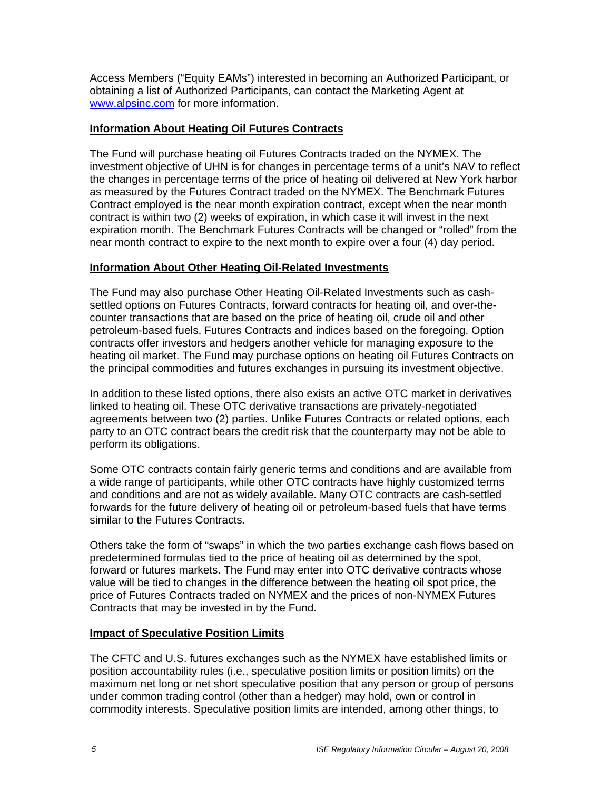Access Members ("Equity EAMs") interested in becoming an Authorized Participant, or obtaining a list of Authorized Participants, can contact the Marketing Agent at www.alpsinc.com for more information.

## **Information About Heating Oil Futures Contracts**

The Fund will purchase heating oil Futures Contracts traded on the NYMEX. The investment objective of UHN is for changes in percentage terms of a unit's NAV to reflect the changes in percentage terms of the price of heating oil delivered at New York harbor as measured by the Futures Contract traded on the NYMEX. The Benchmark Futures Contract employed is the near month expiration contract, except when the near month contract is within two (2) weeks of expiration, in which case it will invest in the next expiration month. The Benchmark Futures Contracts will be changed or "rolled" from the near month contract to expire to the next month to expire over a four (4) day period.

## **Information About Other Heating Oil-Related Investments**

The Fund may also purchase Other Heating Oil-Related Investments such as cashsettled options on Futures Contracts, forward contracts for heating oil, and over-thecounter transactions that are based on the price of heating oil, crude oil and other petroleum-based fuels, Futures Contracts and indices based on the foregoing. Option contracts offer investors and hedgers another vehicle for managing exposure to the heating oil market. The Fund may purchase options on heating oil Futures Contracts on the principal commodities and futures exchanges in pursuing its investment objective.

In addition to these listed options, there also exists an active OTC market in derivatives linked to heating oil. These OTC derivative transactions are privately-negotiated agreements between two (2) parties. Unlike Futures Contracts or related options, each party to an OTC contract bears the credit risk that the counterparty may not be able to perform its obligations.

Some OTC contracts contain fairly generic terms and conditions and are available from a wide range of participants, while other OTC contracts have highly customized terms and conditions and are not as widely available. Many OTC contracts are cash-settled forwards for the future delivery of heating oil or petroleum-based fuels that have terms similar to the Futures Contracts.

Others take the form of "swaps" in which the two parties exchange cash flows based on predetermined formulas tied to the price of heating oil as determined by the spot, forward or futures markets. The Fund may enter into OTC derivative contracts whose value will be tied to changes in the difference between the heating oil spot price, the price of Futures Contracts traded on NYMEX and the prices of non-NYMEX Futures Contracts that may be invested in by the Fund.

## **Impact of Speculative Position Limits**

The CFTC and U.S. futures exchanges such as the NYMEX have established limits or position accountability rules (i.e., speculative position limits or position limits) on the maximum net long or net short speculative position that any person or group of persons under common trading control (other than a hedger) may hold, own or control in commodity interests. Speculative position limits are intended, among other things, to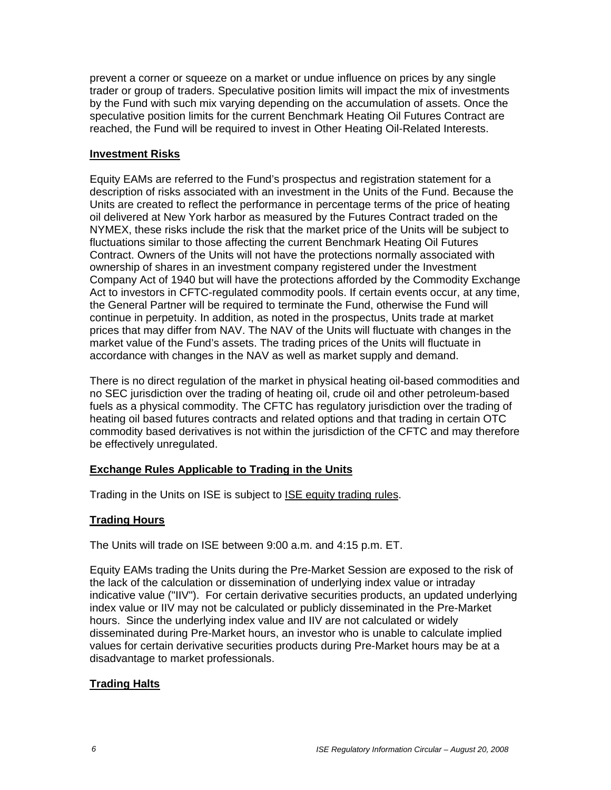prevent a corner or squeeze on a market or undue influence on prices by any single trader or group of traders. Speculative position limits will impact the mix of investments by the Fund with such mix varying depending on the accumulation of assets. Once the speculative position limits for the current Benchmark Heating Oil Futures Contract are reached, the Fund will be required to invest in Other Heating Oil-Related Interests.

#### **Investment Risks**

Equity EAMs are referred to the Fund's prospectus and registration statement for a description of risks associated with an investment in the Units of the Fund. Because the Units are created to reflect the performance in percentage terms of the price of heating oil delivered at New York harbor as measured by the Futures Contract traded on the NYMEX, these risks include the risk that the market price of the Units will be subject to fluctuations similar to those affecting the current Benchmark Heating Oil Futures Contract. Owners of the Units will not have the protections normally associated with ownership of shares in an investment company registered under the Investment Company Act of 1940 but will have the protections afforded by the Commodity Exchange Act to investors in CFTC-regulated commodity pools. If certain events occur, at any time, the General Partner will be required to terminate the Fund, otherwise the Fund will continue in perpetuity. In addition, as noted in the prospectus, Units trade at market prices that may differ from NAV. The NAV of the Units will fluctuate with changes in the market value of the Fund's assets. The trading prices of the Units will fluctuate in accordance with changes in the NAV as well as market supply and demand.

There is no direct regulation of the market in physical heating oil-based commodities and no SEC jurisdiction over the trading of heating oil, crude oil and other petroleum-based fuels as a physical commodity. The CFTC has regulatory jurisdiction over the trading of heating oil based futures contracts and related options and that trading in certain OTC commodity based derivatives is not within the jurisdiction of the CFTC and may therefore be effectively unregulated.

## **Exchange Rules Applicable to Trading in the Units**

Trading in the Units on ISE is subject to ISE equity trading rules.

## **Trading Hours**

The Units will trade on ISE between 9:00 a.m. and 4:15 p.m. ET.

Equity EAMs trading the Units during the Pre-Market Session are exposed to the risk of the lack of the calculation or dissemination of underlying index value or intraday indicative value ("IIV"). For certain derivative securities products, an updated underlying index value or IIV may not be calculated or publicly disseminated in the Pre-Market hours. Since the underlying index value and IIV are not calculated or widely disseminated during Pre-Market hours, an investor who is unable to calculate implied values for certain derivative securities products during Pre-Market hours may be at a disadvantage to market professionals.

## **Trading Halts**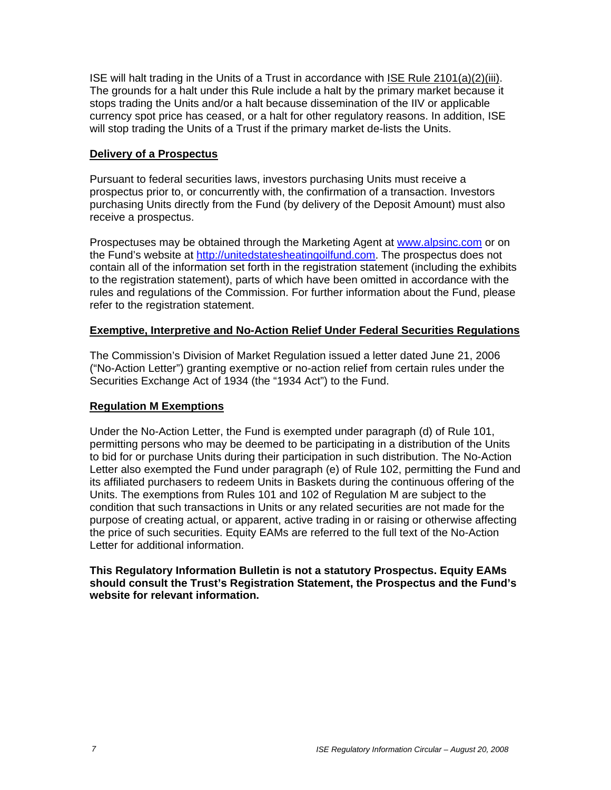ISE will halt trading in the Units of a Trust in accordance with ISE Rule 2101(a)(2)(iii). The grounds for a halt under this Rule include a halt by the primary market because it stops trading the Units and/or a halt because dissemination of the IIV or applicable currency spot price has ceased, or a halt for other regulatory reasons. In addition, ISE will stop trading the Units of a Trust if the primary market de-lists the Units.

#### **Delivery of a Prospectus**

Pursuant to federal securities laws, investors purchasing Units must receive a prospectus prior to, or concurrently with, the confirmation of a transaction. Investors purchasing Units directly from the Fund (by delivery of the Deposit Amount) must also receive a prospectus.

Prospectuses may be obtained through the Marketing Agent at www.alpsinc.com or on the Fund's website at http://unitedstatesheatingoilfund.com. The prospectus does not contain all of the information set forth in the registration statement (including the exhibits to the registration statement), parts of which have been omitted in accordance with the rules and regulations of the Commission. For further information about the Fund, please refer to the registration statement.

#### **Exemptive, Interpretive and No-Action Relief Under Federal Securities Regulations**

The Commission's Division of Market Regulation issued a letter dated June 21, 2006 ("No-Action Letter") granting exemptive or no-action relief from certain rules under the Securities Exchange Act of 1934 (the "1934 Act") to the Fund.

## **Regulation M Exemptions**

Under the No-Action Letter, the Fund is exempted under paragraph (d) of Rule 101, permitting persons who may be deemed to be participating in a distribution of the Units to bid for or purchase Units during their participation in such distribution. The No-Action Letter also exempted the Fund under paragraph (e) of Rule 102, permitting the Fund and its affiliated purchasers to redeem Units in Baskets during the continuous offering of the Units. The exemptions from Rules 101 and 102 of Regulation M are subject to the condition that such transactions in Units or any related securities are not made for the purpose of creating actual, or apparent, active trading in or raising or otherwise affecting the price of such securities. Equity EAMs are referred to the full text of the No-Action Letter for additional information.

#### **This Regulatory Information Bulletin is not a statutory Prospectus. Equity EAMs should consult the Trust's Registration Statement, the Prospectus and the Fund's website for relevant information.**